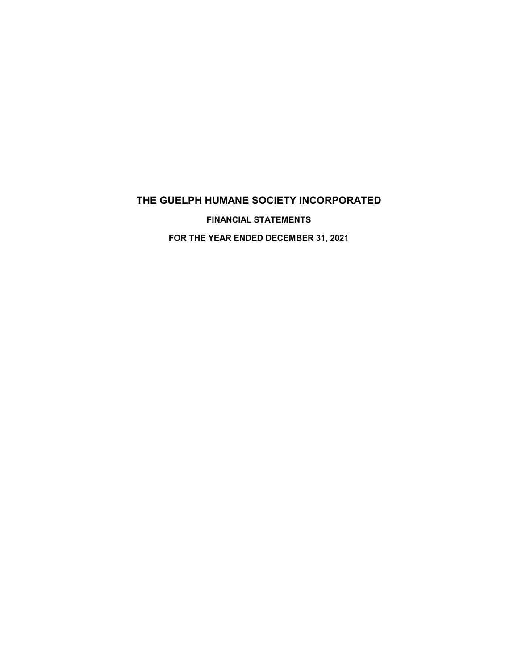**FINANCIAL STATEMENTS**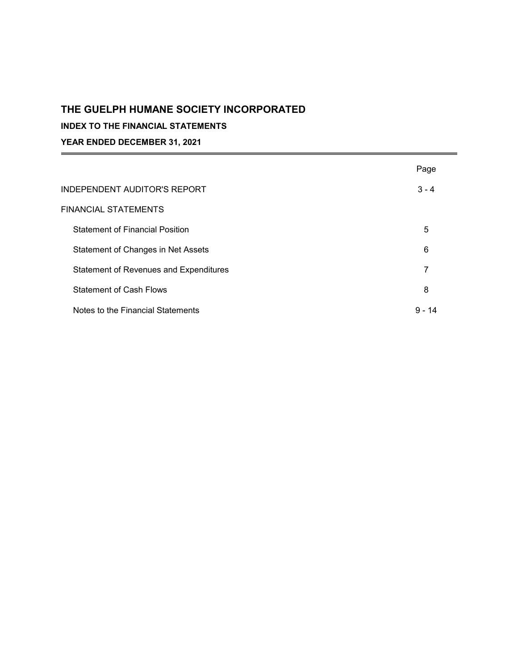**INDEX TO THE FINANCIAL STATEMENTS**

**YEAR ENDED DECEMBER 31, 2021**

 $\overline{\phantom{0}}$ 

|                                               | Page     |
|-----------------------------------------------|----------|
| INDEPENDENT AUDITOR'S REPORT                  | $3 - 4$  |
| FINANCIAL STATEMENTS                          |          |
| <b>Statement of Financial Position</b>        | 5        |
| Statement of Changes in Net Assets            | 6        |
| <b>Statement of Revenues and Expenditures</b> | 7        |
| <b>Statement of Cash Flows</b>                | 8        |
| Notes to the Financial Statements             | $9 - 14$ |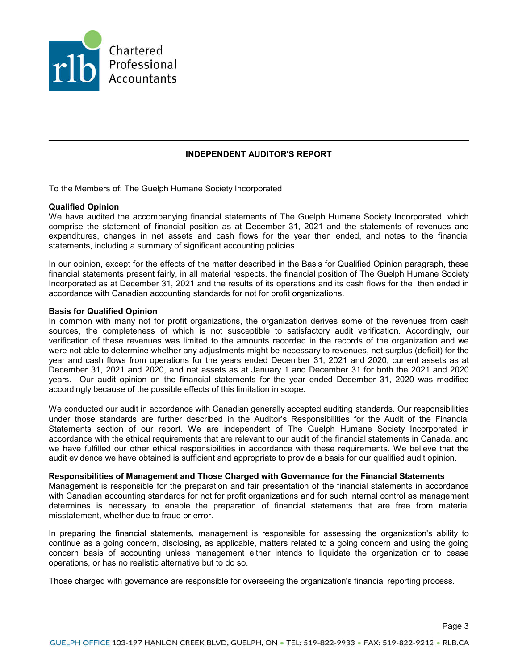

# **INDEPENDENT AUDITOR'S REPORT**

To the Members of: The Guelph Humane Society Incorporated

### **Qualified Opinion**

We have audited the accompanying financial statements of The Guelph Humane Society Incorporated, which comprise the statement of financial position as at December 31, 2021 and the statements of revenues and expenditures, changes in net assets and cash flows for the year then ended, and notes to the financial statements, including a summary of significant accounting policies.

In our opinion, except for the effects of the matter described in the Basis for Qualified Opinion paragraph, these financial statements present fairly, in all material respects, the financial position of The Guelph Humane Society Incorporated as at December 31, 2021 and the results of its operations and its cash flows for the then ended in accordance with Canadian accounting standards for not for profit organizations.

### **Basis for Qualified Opinion**

In common with many not for profit organizations, the organization derives some of the revenues from cash sources, the completeness of which is not susceptible to satisfactory audit verification. Accordingly, our verification of these revenues was limited to the amounts recorded in the records of the organization and we were not able to determine whether any adjustments might be necessary to revenues, net surplus (deficit) for the year and cash flows from operations for the years ended December 31, 2021 and 2020, current assets as at December 31, 2021 and 2020, and net assets as at January 1 and December 31 for both the 2021 and 2020 years. Our audit opinion on the financial statements for the year ended December 31, 2020 was modified accordingly because of the possible effects of this limitation in scope.

We conducted our audit in accordance with Canadian generally accepted auditing standards. Our responsibilities under those standards are further described in the Auditor's Responsibilities for the Audit of the Financial Statements section of our report. We are independent of The Guelph Humane Society Incorporated in accordance with the ethical requirements that are relevant to our audit of the financial statements in Canada, and we have fulfilled our other ethical responsibilities in accordance with these requirements. We believe that the audit evidence we have obtained is sufficient and appropriate to provide a basis for our qualified audit opinion.

#### **Responsibilities of Management and Those Charged with Governance for the Financial Statements**

Management is responsible for the preparation and fair presentation of the financial statements in accordance with Canadian accounting standards for not for profit organizations and for such internal control as management determines is necessary to enable the preparation of financial statements that are free from material misstatement, whether due to fraud or error.

In preparing the financial statements, management is responsible for assessing the organization's ability to continue as a going concern, disclosing, as applicable, matters related to a going concern and using the going concern basis of accounting unless management either intends to liquidate the organization or to cease operations, or has no realistic alternative but to do so.

Those charged with governance are responsible for overseeing the organization's financial reporting process.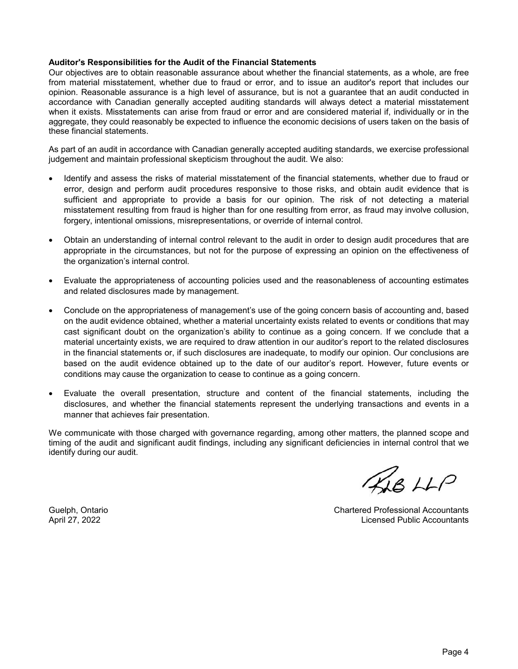### **Auditor's Responsibilities for the Audit of the Financial Statements**

Our objectives are to obtain reasonable assurance about whether the financial statements, as a whole, are free from material misstatement, whether due to fraud or error, and to issue an auditor's report that includes our opinion. Reasonable assurance is a high level of assurance, but is not a guarantee that an audit conducted in accordance with Canadian generally accepted auditing standards will always detect a material misstatement when it exists. Misstatements can arise from fraud or error and are considered material if, individually or in the aggregate, they could reasonably be expected to influence the economic decisions of users taken on the basis of these financial statements.

As part of an audit in accordance with Canadian generally accepted auditing standards, we exercise professional judgement and maintain professional skepticism throughout the audit. We also:

- Identify and assess the risks of material misstatement of the financial statements, whether due to fraud or error, design and perform audit procedures responsive to those risks, and obtain audit evidence that is sufficient and appropriate to provide a basis for our opinion. The risk of not detecting a material misstatement resulting from fraud is higher than for one resulting from error, as fraud may involve collusion, forgery, intentional omissions, misrepresentations, or override of internal control.
- Obtain an understanding of internal control relevant to the audit in order to design audit procedures that are appropriate in the circumstances, but not for the purpose of expressing an opinion on the effectiveness of the organization's internal control.
- Evaluate the appropriateness of accounting policies used and the reasonableness of accounting estimates and related disclosures made by management.
- Conclude on the appropriateness of management's use of the going concern basis of accounting and, based on the audit evidence obtained, whether a material uncertainty exists related to events or conditions that may cast significant doubt on the organization's ability to continue as a going concern. If we conclude that a material uncertainty exists, we are required to draw attention in our auditor's report to the related disclosures in the financial statements or, if such disclosures are inadequate, to modify our opinion. Our conclusions are based on the audit evidence obtained up to the date of our auditor's report. However, future events or conditions may cause the organization to cease to continue as a going concern.
- Evaluate the overall presentation, structure and content of the financial statements, including the disclosures, and whether the financial statements represent the underlying transactions and events in a manner that achieves fair presentation.

We communicate with those charged with governance regarding, among other matters, the planned scope and timing of the audit and significant audit findings, including any significant deficiencies in internal control that we identify during our audit.

FIB LLP

Guelph, Ontario Chartered Professional Accountants April 27, 2022 Licensed Public Accountants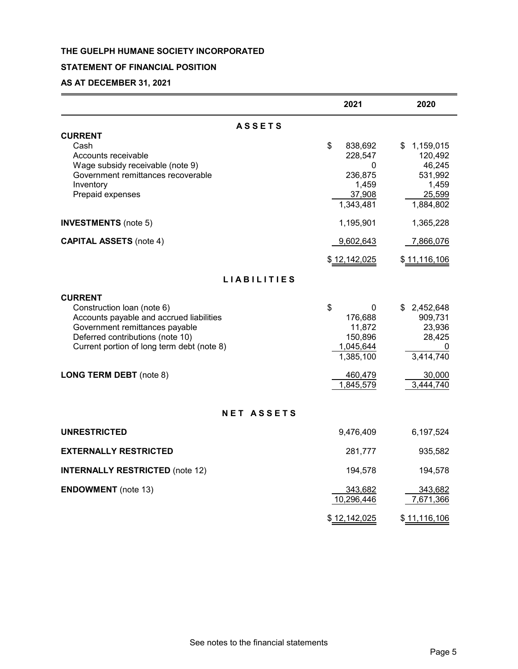# **STATEMENT OF FINANCIAL POSITION**

# **AS AT DECEMBER 31, 2021**

|                                                                                                                                                                                                                                                | 2021                                                                                      | 2020                                                                              |
|------------------------------------------------------------------------------------------------------------------------------------------------------------------------------------------------------------------------------------------------|-------------------------------------------------------------------------------------------|-----------------------------------------------------------------------------------|
| <b>ASSETS</b>                                                                                                                                                                                                                                  |                                                                                           |                                                                                   |
| <b>CURRENT</b><br>Cash<br>Accounts receivable<br>Wage subsidy receivable (note 9)<br>Government remittances recoverable<br>Inventory<br>Prepaid expenses                                                                                       | \$<br>838,692<br>228,547<br>0<br>236,875<br>1,459<br>37,908<br>1,343,481                  | 1,159,015<br>\$<br>120,492<br>46,245<br>531,992<br>1,459<br>25,599<br>1,884,802   |
| <b>INVESTMENTS</b> (note 5)                                                                                                                                                                                                                    | 1,195,901                                                                                 | 1,365,228                                                                         |
| <b>CAPITAL ASSETS (note 4)</b>                                                                                                                                                                                                                 | 9,602,643                                                                                 | 7,866,076                                                                         |
|                                                                                                                                                                                                                                                | \$12,142,025                                                                              | \$11,116,106                                                                      |
| <b>LIABILITIES</b>                                                                                                                                                                                                                             |                                                                                           |                                                                                   |
| <b>CURRENT</b><br>Construction loan (note 6)<br>Accounts payable and accrued liabilities<br>Government remittances payable<br>Deferred contributions (note 10)<br>Current portion of long term debt (note 8)<br><b>LONG TERM DEBT</b> (note 8) | \$<br>0<br>176,688<br>11,872<br>150,896<br>1,045,644<br>1,385,100<br>460,479<br>1,845,579 | 2,452,648<br>909,731<br>23,936<br>28,425<br>0<br>3,414,740<br>30,000<br>3,444,740 |
| <b>NET ASSETS</b>                                                                                                                                                                                                                              |                                                                                           |                                                                                   |
| <b>UNRESTRICTED</b>                                                                                                                                                                                                                            | 9,476,409                                                                                 | 6,197,524                                                                         |
| <b>EXTERNALLY RESTRICTED</b>                                                                                                                                                                                                                   | 281,777                                                                                   | 935,582                                                                           |
| <b>INTERNALLY RESTRICTED</b> (note 12)                                                                                                                                                                                                         | 194,578                                                                                   | 194,578                                                                           |
| <b>ENDOWMENT</b> (note 13)                                                                                                                                                                                                                     | 343,682<br>10,296,446                                                                     | 343,682<br>7,671,366                                                              |
|                                                                                                                                                                                                                                                | \$12,142,025                                                                              | \$11,116,106                                                                      |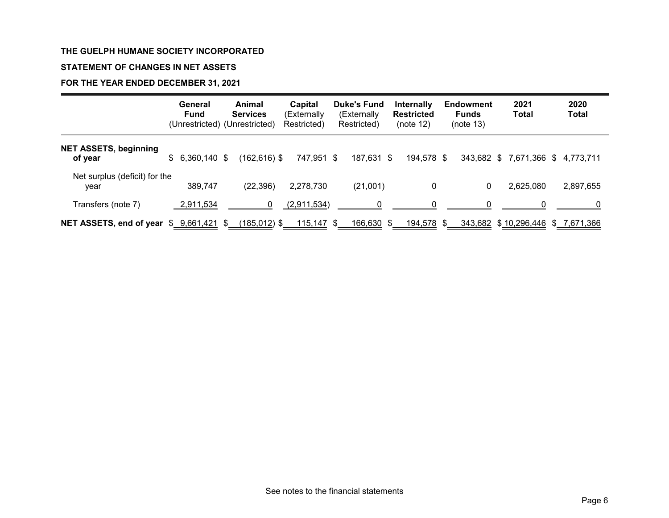# **STATEMENT OF CHANGES IN NET ASSETS**

|                                          | General<br><b>Fund</b> | Animal<br><b>Services</b><br>(Unrestricted) (Unrestricted) | Capital<br>(Externallv<br>Restricted) | <b>Duke's Fund</b><br>(Externally<br>Restricted) | Internally<br><b>Restricted</b><br>(note 12) | <b>Endowment</b><br><b>Funds</b><br>(note 13) | 2021<br><b>Total</b>             | 2020<br><b>Total</b> |
|------------------------------------------|------------------------|------------------------------------------------------------|---------------------------------------|--------------------------------------------------|----------------------------------------------|-----------------------------------------------|----------------------------------|----------------------|
| <b>NET ASSETS, beginning</b><br>of year  | $$6,360,140$ \$        | $(162, 616)$ \$                                            | 747,951 \$                            | 187,631 \$                                       | 194,578 \$                                   |                                               | 343,682 \$7,671,366 \$4,773,711  |                      |
| Net surplus (deficit) for the<br>year    | 389,747                | (22, 396)                                                  | 2,278,730                             | (21,001)                                         | 0                                            | $\mathbf 0$                                   | 2,625,080                        | 2,897,655            |
| Transfers (note 7)                       | 2,911,534              | 0                                                          | (2,911,534)                           | $\Omega$                                         |                                              | $\mathbf 0$                                   |                                  |                      |
| NET ASSETS, end of year $$9,661,421$ $$$ |                        | $(185, 012)$ \$                                            | $115,147$ \$                          | 166,630 \$                                       | 194,578 \$                                   |                                               | 343,682 \$10,296,446 \$7,671,366 |                      |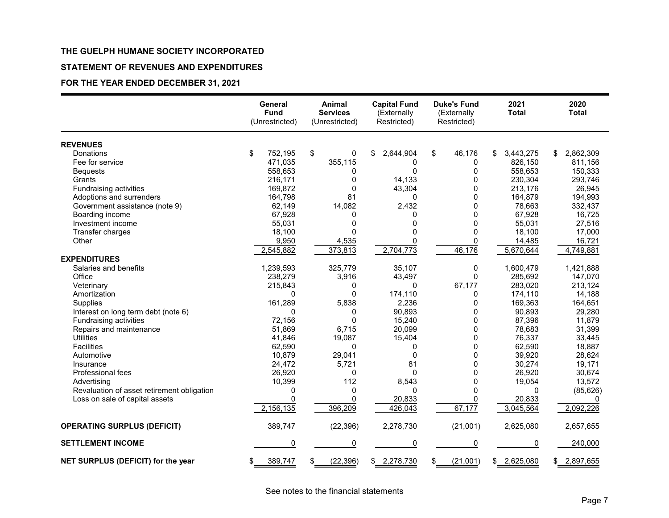# **STATEMENT OF REVENUES AND EXPENDITURES**

|                                            | General<br><b>Fund</b><br>(Unrestricted) | Animal<br><b>Services</b><br>(Unrestricted) | <b>Capital Fund</b><br>(Externally<br>Restricted) | <b>Duke's Fund</b><br>(Externally<br>Restricted) | 2021<br><b>Total</b> | 2020<br><b>Total</b> |
|--------------------------------------------|------------------------------------------|---------------------------------------------|---------------------------------------------------|--------------------------------------------------|----------------------|----------------------|
| <b>REVENUES</b>                            |                                          |                                             |                                                   |                                                  |                      |                      |
| Donations                                  | \$<br>752,195                            | \$<br>0                                     | 2,644,904<br>\$                                   | \$<br>46,176                                     | 3,443,275<br>\$      | 2,862,309<br>\$      |
| Fee for service                            | 471,035                                  | 355,115                                     | 0                                                 | 0                                                | 826,150              | 811,156              |
| <b>Bequests</b>                            | 558.653                                  | 0                                           | $\Omega$                                          | $\Omega$                                         | 558.653              | 150,333              |
| Grants                                     | 216,171                                  | $\mathbf 0$                                 | 14,133                                            | $\Omega$                                         | 230,304              | 293,746              |
| Fundraising activities                     | 169,872                                  | $\mathbf 0$                                 | 43,304                                            | $\mathbf 0$                                      | 213,176              | 26,945               |
| Adoptions and surrenders                   | 164,798                                  | 81                                          | $\Omega$                                          | $\mathbf 0$                                      | 164,879              | 194,993              |
| Government assistance (note 9)             | 62,149                                   | 14,082                                      | 2,432                                             | $\mathbf{0}$                                     | 78,663               | 332,437              |
| Boarding income                            | 67,928                                   | $\Omega$                                    | $\Omega$                                          | $\Omega$                                         | 67,928               | 16,725               |
| Investment income                          | 55,031                                   | 0                                           | 0                                                 | $\mathbf 0$                                      | 55,031               | 27,516               |
| Transfer charges                           | 18,100                                   | $\Omega$                                    | 0                                                 | $\Omega$                                         | 18,100               | 17,000               |
| Other                                      | 9,950                                    | 4,535                                       | $\Omega$                                          | 0                                                | 14,485               | 16,721               |
|                                            | 2,545,882                                | 373,813                                     | 2,704,773                                         | 46,176                                           | 5,670,644            | 4,749,881            |
| <b>EXPENDITURES</b>                        |                                          |                                             |                                                   |                                                  |                      |                      |
| Salaries and benefits                      | 1,239,593                                | 325,779                                     | 35,107                                            | 0                                                | 1,600,479            | 1,421,888            |
| Office                                     | 238,279                                  | 3,916                                       | 43,497                                            | $\Omega$                                         | 285,692              | 147,070              |
| Veterinary                                 | 215,843                                  | 0                                           | $\Omega$                                          | 67,177                                           | 283,020              | 213,124              |
| Amortization                               | 0                                        | $\mathbf{0}$                                | 174,110                                           | 0                                                | 174,110              | 14,188               |
| Supplies                                   | 161,289                                  | 5,838                                       | 2,236                                             | 0                                                | 169,363              | 164,651              |
| Interest on long term debt (note 6)        | $\Omega$                                 | 0                                           | 90,893                                            | $\Omega$                                         | 90,893               | 29,280               |
| <b>Fundraising activities</b>              | 72,156                                   | $\mathbf{0}$                                | 15,240                                            | $\Omega$                                         | 87,396               | 11,879               |
| Repairs and maintenance                    | 51,869                                   | 6,715                                       | 20,099                                            | $\Omega$                                         | 78,683               | 31,399               |
| <b>Utilities</b>                           | 41,846                                   | 19,087                                      | 15,404                                            | 0                                                | 76,337               | 33,445               |
| <b>Facilities</b>                          | 62,590                                   | 0                                           | 0                                                 | 0                                                | 62,590               | 18,887               |
| Automotive                                 | 10,879                                   | 29,041                                      | $\mathbf 0$                                       | $\Omega$                                         | 39,920               | 28,624               |
| Insurance                                  | 24,472                                   | 5,721                                       | 81                                                | $\Omega$                                         | 30,274               | 19,171               |
| Professional fees                          | 26,920                                   | $\mathbf 0$                                 | $\Omega$                                          | $\mathbf{0}$                                     | 26,920               | 30,674               |
| Advertising                                | 10,399                                   | 112                                         | 8,543                                             | 0                                                | 19,054               | 13,572               |
| Revaluation of asset retirement obligation | 0                                        | $\mathbf{0}$                                | $\Omega$                                          | $\Omega$                                         | 0                    | (85, 626)            |
| Loss on sale of capital assets             | 0                                        | 0                                           | 20,833                                            | $\mathbf 0$                                      | 20,833               | 0                    |
|                                            | 2,156,135                                | 396,209                                     | 426,043                                           | 67,177                                           | 3,045,564            | 2,092,226            |
| <b>OPERATING SURPLUS (DEFICIT)</b>         | 389,747                                  | (22, 396)                                   | 2,278,730                                         | (21,001)                                         | 2,625,080            | 2,657,655            |
| <b>SETTLEMENT INCOME</b>                   | $\pmb{0}$                                | $\overline{0}$                              | 0                                                 | 0                                                | 0                    | 240,000              |
| NET SURPLUS (DEFICIT) for the year         | 389,747<br>\$                            | (22, 396)<br>\$                             | \$2,278,730                                       | (21,001)<br>\$                                   | \$2,625,080          | \$2,897,655          |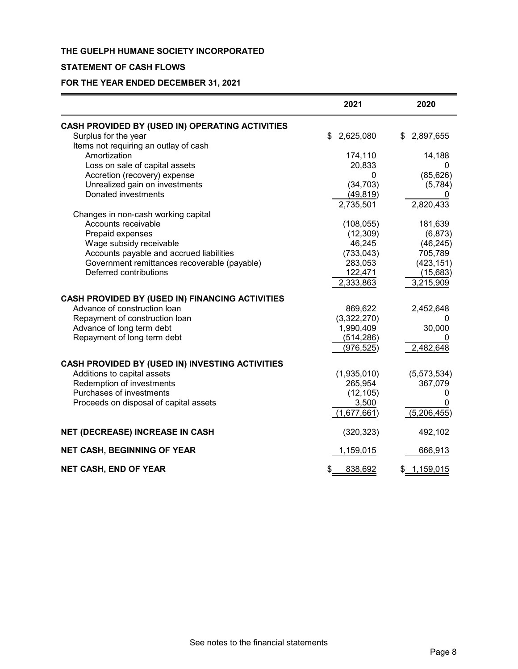# **STATEMENT OF CASH FLOWS**

|                                                 | 2021            | 2020            |
|-------------------------------------------------|-----------------|-----------------|
| CASH PROVIDED BY (USED IN) OPERATING ACTIVITIES |                 |                 |
| Surplus for the year                            | 2,625,080<br>\$ | \$2,897,655     |
| Items not requiring an outlay of cash           |                 |                 |
| Amortization                                    | 174,110         | 14,188          |
| Loss on sale of capital assets                  | 20,833          | 0               |
| Accretion (recovery) expense                    | 0               | (85, 626)       |
| Unrealized gain on investments                  | (34, 703)       | (5,784)         |
| Donated investments                             | (49, 819)       | 0               |
|                                                 | 2,735,501       | 2,820,433       |
| Changes in non-cash working capital             |                 |                 |
| Accounts receivable                             | (108, 055)      | 181,639         |
| Prepaid expenses                                | (12, 309)       | (6, 873)        |
| Wage subsidy receivable                         | 46,245          | (46, 245)       |
| Accounts payable and accrued liabilities        | (733, 043)      | 705,789         |
| Government remittances recoverable (payable)    | 283,053         | (423, 151)      |
| Deferred contributions                          | 122,471         | (15,683)        |
|                                                 | 2,333,863       | 3,215,909       |
| CASH PROVIDED BY (USED IN) FINANCING ACTIVITIES |                 |                 |
| Advance of construction loan                    | 869,622         | 2,452,648       |
| Repayment of construction loan                  | (3,322,270)     | 0               |
| Advance of long term debt                       | 1,990,409       | 30,000          |
| Repayment of long term debt                     | (514, 286)      | $\mathbf{0}$    |
|                                                 | (976, 525)      | 2,482,648       |
|                                                 |                 |                 |
| CASH PROVIDED BY (USED IN) INVESTING ACTIVITIES |                 |                 |
| Additions to capital assets                     | (1,935,010)     | (5, 573, 534)   |
| Redemption of investments                       | 265,954         | 367,079         |
| Purchases of investments                        | (12, 105)       | 0               |
| Proceeds on disposal of capital assets          | 3,500           |                 |
|                                                 | (1,677,661)     | (5,206,455)     |
| <b>NET (DECREASE) INCREASE IN CASH</b>          | (320, 323)      | 492,102         |
| <b>NET CASH, BEGINNING OF YEAR</b>              | 1,159,015       | 666,913         |
| <b>NET CASH, END OF YEAR</b>                    | 838,692<br>\$   | \$<br>1,159,015 |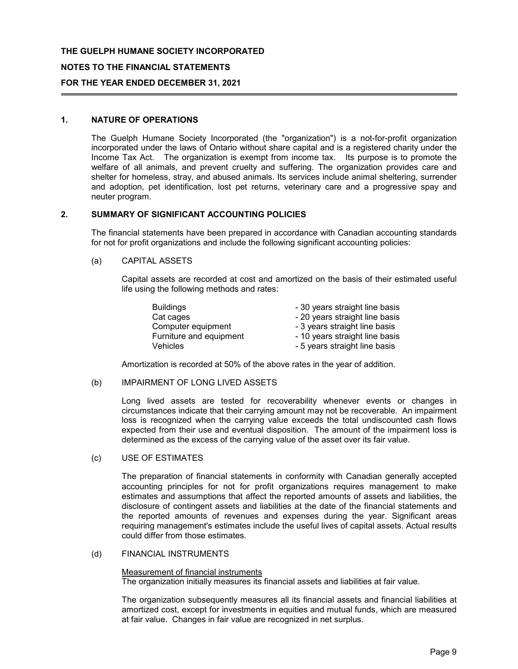# **NOTES TO THE FINANCIAL STATEMENTS**

# **FOR THE YEAR ENDED DECEMBER 31, 2021**

### **1. NATURE OF OPERATIONS**

The Guelph Humane Society Incorporated (the "organization") is a not-for-profit organization incorporated under the laws of Ontario without share capital and is a registered charity under the Income Tax Act. The organization is exempt from income tax. Its purpose is to promote the welfare of all animals, and prevent cruelty and suffering. The organization provides care and shelter for homeless, stray, and abused animals. Its services include animal sheltering, surrender and adoption, pet identification, lost pet returns, veterinary care and a progressive spay and neuter program.

# **2. SUMMARY OF SIGNIFICANT ACCOUNTING POLICIES**

The financial statements have been prepared in accordance with Canadian accounting standards for not for profit organizations and include the following significant accounting policies:

### (a) CAPITAL ASSETS

Capital assets are recorded at cost and amortized on the basis of their estimated useful life using the following methods and rates:

| <b>Buildings</b>        | - 30 years straight line basis |
|-------------------------|--------------------------------|
| Cat cages               | - 20 years straight line basis |
| Computer equipment      | - 3 years straight line basis  |
| Furniture and equipment | - 10 years straight line basis |
| <b>Vehicles</b>         | - 5 years straight line basis  |
|                         |                                |

Amortization is recorded at 50% of the above rates in the year of addition.

### (b) IMPAIRMENT OF LONG LIVED ASSETS

Long lived assets are tested for recoverability whenever events or changes in circumstances indicate that their carrying amount may not be recoverable. An impairment loss is recognized when the carrying value exceeds the total undiscounted cash flows expected from their use and eventual disposition. The amount of the impairment loss is determined as the excess of the carrying value of the asset over its fair value.

#### (c) USE OF ESTIMATES

The preparation of financial statements in conformity with Canadian generally accepted accounting principles for not for profit organizations requires management to make estimates and assumptions that affect the reported amounts of assets and liabilities, the disclosure of contingent assets and liabilities at the date of the financial statements and the reported amounts of revenues and expenses during the year. Significant areas requiring management's estimates include the useful lives of capital assets. Actual results could differ from those estimates.

# (d) FINANCIAL INSTRUMENTS

### Measurement of financial instruments

The organization initially measures its financial assets and liabilities at fair value.

The organization subsequently measures all its financial assets and financial liabilities at amortized cost, except for investments in equities and mutual funds, which are measured at fair value. Changes in fair value are recognized in net surplus.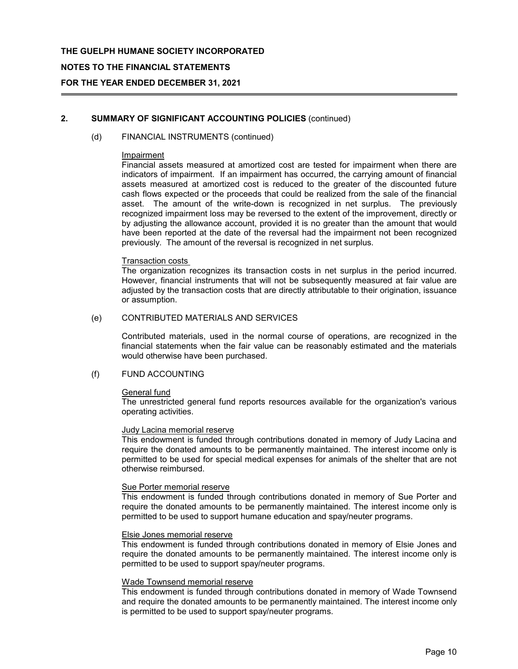# **THE GUELPH HUMANE SOCIETY INCORPORATED NOTES TO THE FINANCIAL STATEMENTS FOR THE YEAR ENDED DECEMBER 31, 2021**

# **2. SUMMARY OF SIGNIFICANT ACCOUNTING POLICIES** (continued)

# (d) FINANCIAL INSTRUMENTS (continued)

#### Impairment

Financial assets measured at amortized cost are tested for impairment when there are indicators of impairment. If an impairment has occurred, the carrying amount of financial assets measured at amortized cost is reduced to the greater of the discounted future cash flows expected or the proceeds that could be realized from the sale of the financial asset. The amount of the write-down is recognized in net surplus. The previously recognized impairment loss may be reversed to the extent of the improvement, directly or by adjusting the allowance account, provided it is no greater than the amount that would have been reported at the date of the reversal had the impairment not been recognized previously. The amount of the reversal is recognized in net surplus.

### Transaction costs

The organization recognizes its transaction costs in net surplus in the period incurred. However, financial instruments that will not be subsequently measured at fair value are adjusted by the transaction costs that are directly attributable to their origination, issuance or assumption.

### (e) CONTRIBUTED MATERIALS AND SERVICES

Contributed materials, used in the normal course of operations, are recognized in the financial statements when the fair value can be reasonably estimated and the materials would otherwise have been purchased.

### (f) FUND ACCOUNTING

#### General fund

The unrestricted general fund reports resources available for the organization's various operating activities.

#### Judy Lacina memorial reserve

This endowment is funded through contributions donated in memory of Judy Lacina and require the donated amounts to be permanently maintained. The interest income only is permitted to be used for special medical expenses for animals of the shelter that are not otherwise reimbursed.

### Sue Porter memorial reserve

This endowment is funded through contributions donated in memory of Sue Porter and require the donated amounts to be permanently maintained. The interest income only is permitted to be used to support humane education and spay/neuter programs.

#### Elsie Jones memorial reserve

This endowment is funded through contributions donated in memory of Elsie Jones and require the donated amounts to be permanently maintained. The interest income only is permitted to be used to support spay/neuter programs.

### Wade Townsend memorial reserve

This endowment is funded through contributions donated in memory of Wade Townsend and require the donated amounts to be permanently maintained. The interest income only is permitted to be used to support spay/neuter programs.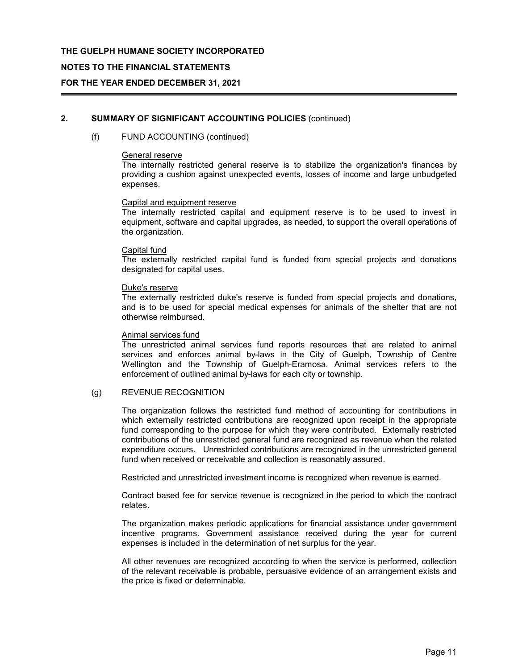# **NOTES TO THE FINANCIAL STATEMENTS**

# **FOR THE YEAR ENDED DECEMBER 31, 2021**

### **2. SUMMARY OF SIGNIFICANT ACCOUNTING POLICIES** (continued)

### (f) FUND ACCOUNTING (continued)

#### General reserve

The internally restricted general reserve is to stabilize the organization's finances by providing a cushion against unexpected events, losses of income and large unbudgeted expenses.

### Capital and equipment reserve

The internally restricted capital and equipment reserve is to be used to invest in equipment, software and capital upgrades, as needed, to support the overall operations of the organization.

### Capital fund

The externally restricted capital fund is funded from special projects and donations designated for capital uses.

### Duke's reserve

The externally restricted duke's reserve is funded from special projects and donations, and is to be used for special medical expenses for animals of the shelter that are not otherwise reimbursed.

#### Animal services fund

The unrestricted animal services fund reports resources that are related to animal services and enforces animal by-laws in the City of Guelph, Township of Centre Wellington and the Township of Guelph-Eramosa. Animal services refers to the enforcement of outlined animal by-laws for each city or township.

### (g) REVENUE RECOGNITION

The organization follows the restricted fund method of accounting for contributions in which externally restricted contributions are recognized upon receipt in the appropriate fund corresponding to the purpose for which they were contributed. Externally restricted contributions of the unrestricted general fund are recognized as revenue when the related expenditure occurs. Unrestricted contributions are recognized in the unrestricted general fund when received or receivable and collection is reasonably assured.

Restricted and unrestricted investment income is recognized when revenue is earned.

Contract based fee for service revenue is recognized in the period to which the contract relates.

The organization makes periodic applications for financial assistance under government incentive programs. Government assistance received during the year for current expenses is included in the determination of net surplus for the year.

All other revenues are recognized according to when the service is performed, collection of the relevant receivable is probable, persuasive evidence of an arrangement exists and the price is fixed or determinable.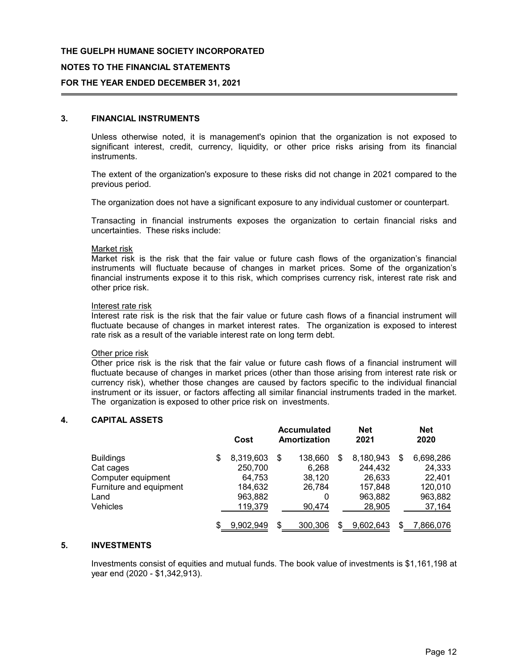### **NOTES TO THE FINANCIAL STATEMENTS**

### **FOR THE YEAR ENDED DECEMBER 31, 2021**

#### **3. FINANCIAL INSTRUMENTS**

Unless otherwise noted, it is management's opinion that the organization is not exposed to significant interest, credit, currency, liquidity, or other price risks arising from its financial instruments.

The extent of the organization's exposure to these risks did not change in 2021 compared to the previous period.

The organization does not have a significant exposure to any individual customer or counterpart.

Transacting in financial instruments exposes the organization to certain financial risks and uncertainties. These risks include:

#### Market risk

Market risk is the risk that the fair value or future cash flows of the organization's financial instruments will fluctuate because of changes in market prices. Some of the organization's financial instruments expose it to this risk, which comprises currency risk, interest rate risk and other price risk.

#### Interest rate risk

Interest rate risk is the risk that the fair value or future cash flows of a financial instrument will fluctuate because of changes in market interest rates. The organization is exposed to interest rate risk as a result of the variable interest rate on long term debt.

### Other price risk

Other price risk is the risk that the fair value or future cash flows of a financial instrument will fluctuate because of changes in market prices (other than those arising from interest rate risk or currency risk), whether those changes are caused by factors specific to the individual financial instrument or its issuer, or factors affecting all similar financial instruments traded in the market. The organization is exposed to other price risk on investments.

### **4. CAPITAL ASSETS**

|                         |    | Cost      | <b>Accumulated</b><br>Amortization |   | <b>Net</b><br>2021 |    | <b>Net</b><br>2020 |
|-------------------------|----|-----------|------------------------------------|---|--------------------|----|--------------------|
| <b>Buildings</b>        | \$ | 8,319,603 | \$<br>138,660                      | S | 8,180,943          | \$ | 6,698,286          |
| Cat cages               |    | 250,700   | 6,268                              |   | 244,432            |    | 24,333             |
| Computer equipment      |    | 64,753    | 38,120                             |   | 26,633             |    | 22,401             |
| Furniture and equipment |    | 184,632   | 26.784                             |   | 157,848            |    | 120,010            |
| Land                    |    | 963,882   | 0                                  |   | 963,882            |    | 963,882            |
| Vehicles                |    | 119,379   | 90,474                             |   | 28,905             |    | 37,164             |
|                         | S  | 9,902,949 | \$<br>300.306                      |   | 9,602,643          | S  | 7,866,076          |

# **5. INVESTMENTS**

Investments consist of equities and mutual funds. The book value of investments is \$1,161,198 at year end (2020 - \$1,342,913).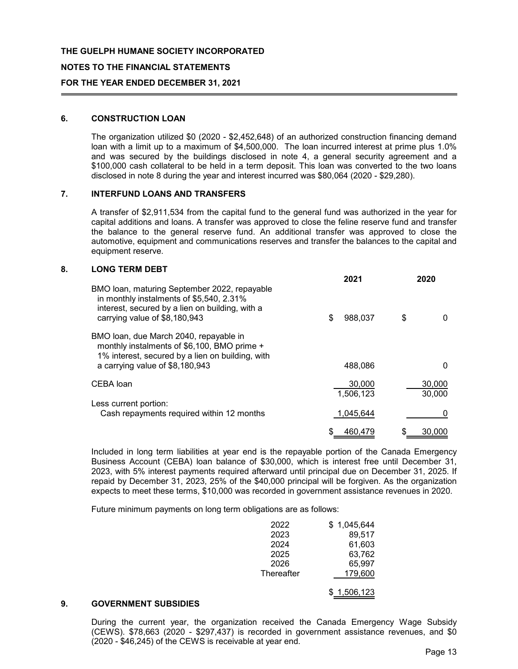# **NOTES TO THE FINANCIAL STATEMENTS**

# **FOR THE YEAR ENDED DECEMBER 31, 2021**

### **6. CONSTRUCTION LOAN**

The organization utilized \$0 (2020 - \$2,452,648) of an authorized construction financing demand loan with a limit up to a maximum of \$4,500,000. The loan incurred interest at prime plus 1.0% and was secured by the buildings disclosed in note 4, a general security agreement and a \$100,000 cash collateral to be held in a term deposit. This loan was converted to the two loans disclosed in note 8 during the year and interest incurred was \$80,064 (2020 - \$29,280).

### **7. INTERFUND LOANS AND TRANSFERS**

A transfer of \$2,911,534 from the capital fund to the general fund was authorized in the year for capital additions and loans. A transfer was approved to close the feline reserve fund and transfer the balance to the general reserve fund. An additional transfer was approved to close the automotive, equipment and communications reserves and transfer the balances to the capital and equipment reserve.

### **8. LONG TERM DEBT**

|                                                                                                                                                                              | 2021                | 2020             |
|------------------------------------------------------------------------------------------------------------------------------------------------------------------------------|---------------------|------------------|
| BMO loan, maturing September 2022, repayable<br>in monthly instalments of \$5,540, 2.31%<br>interest, secured by a lien on building, with a<br>carrying value of \$8,180,943 | \$<br>988.037       | \$<br>$\Omega$   |
| BMO loan, due March 2040, repayable in<br>monthly instalments of \$6,100, BMO prime +<br>1% interest, secured by a lien on building, with                                    |                     |                  |
| a carrying value of \$8,180,943                                                                                                                                              | 488.086             | 0                |
| CEBA loan                                                                                                                                                                    | 30,000<br>1,506,123 | 30,000<br>30,000 |
| Less current portion:                                                                                                                                                        |                     |                  |
| Cash repayments required within 12 months                                                                                                                                    | 1,045,644           |                  |
|                                                                                                                                                                              | 460,479             | 30,000           |

Included in long term liabilities at year end is the repayable portion of the Canada Emergency Business Account (CEBA) loan balance of \$30,000, which is interest free until December 31, 2023, with 5% interest payments required afterward until principal due on December 31, 2025. If repaid by December 31, 2023, 25% of the \$40,000 principal will be forgiven. As the organization expects to meet these terms, \$10,000 was recorded in government assistance revenues in 2020.

Future minimum payments on long term obligations are as follows:

| 2022       | \$1,045,644 |
|------------|-------------|
| 2023       | 89,517      |
| 2024       | 61,603      |
| 2025       | 63,762      |
| 2026       | 65,997      |
| Thereafter | 179,600     |
|            | \$1,506,123 |

# **9. GOVERNMENT SUBSIDIES**

During the current year, the organization received the Canada Emergency Wage Subsidy (CEWS). \$78,663 (2020 - \$297,437) is recorded in government assistance revenues, and \$0 (2020 - \$46,245) of the CEWS is receivable at year end.